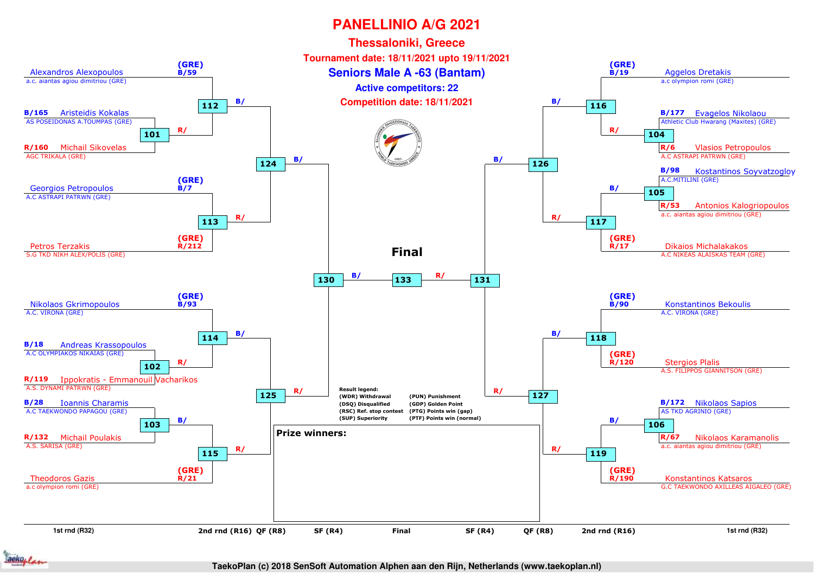

**TaekoPlan (c) 2018 SenSoft Automation Alphen aan den Rijn, Netherlands (www.taekoplan.nl)**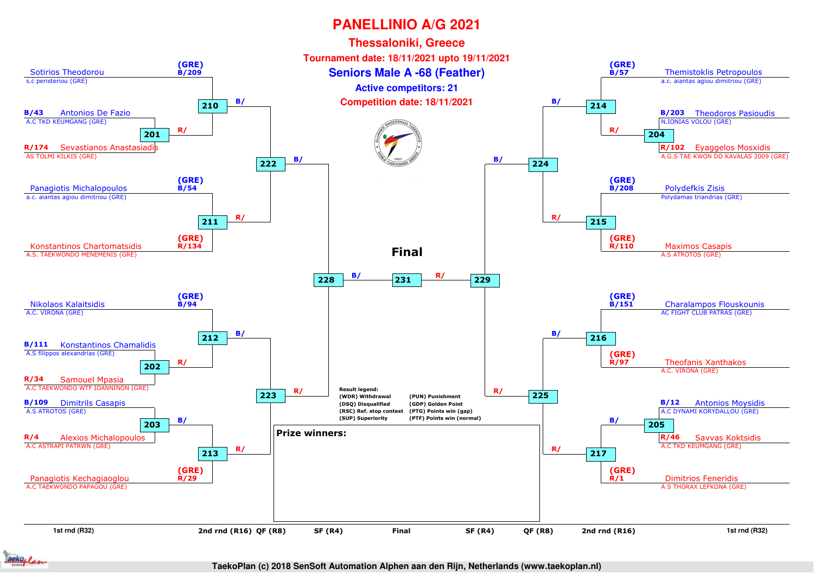

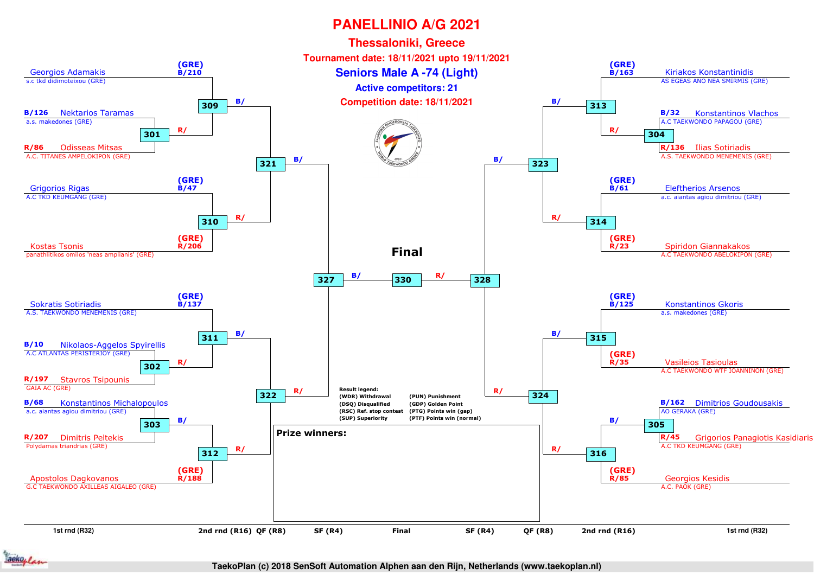

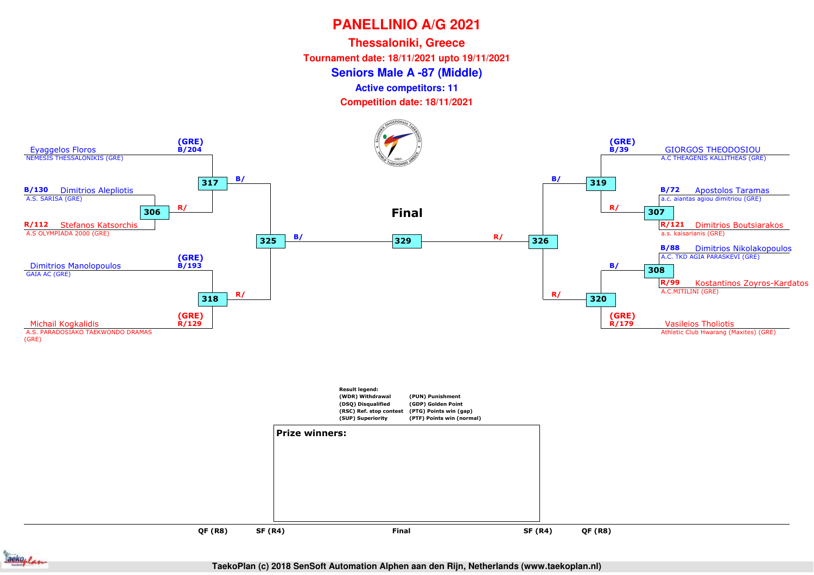**Thessaloniki, Greece**

**Tournament date: 18/11/2021 upto 19/11/2021**

#### **Seniors Male A -87 (Middle)**

**Active competitors: 11**

**Competition date: 18/11/2021**



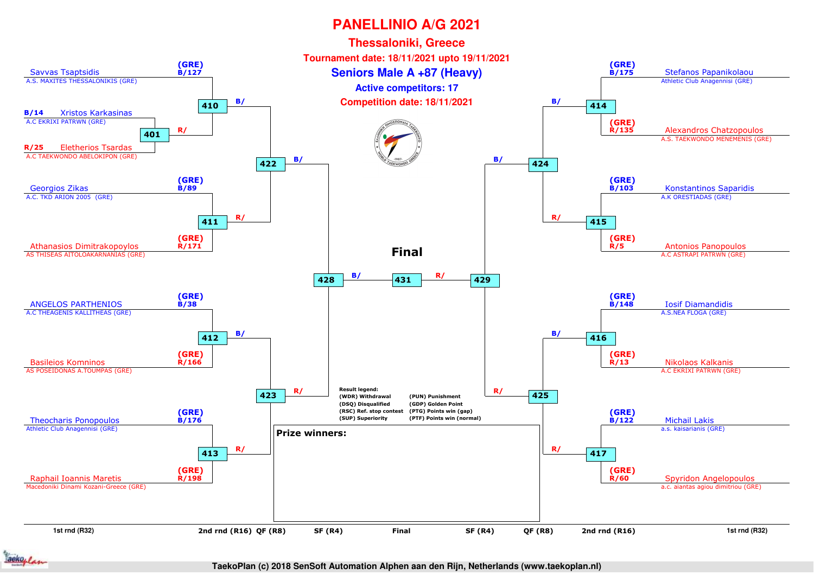

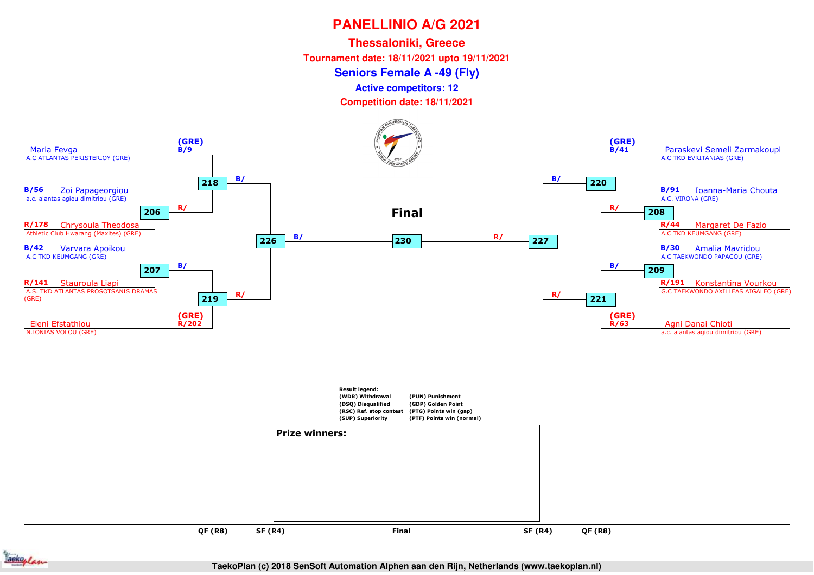**Thessaloniki, Greece**

**Tournament date: 18/11/2021 upto 19/11/2021**

**Seniors Female A -49 (Fly)**

**Active competitors: 12**

**Competition date: 18/11/2021**



ackoplan

**QF (R8)**

**SF (R4)**

**TaekoPlan (c) 2018 SenSoft Automation Alphen aan den Rijn, Netherlands (www.taekoplan.nl)**

**QF (R8)**

and **SF (R4)** Final SF (R4)

**Final**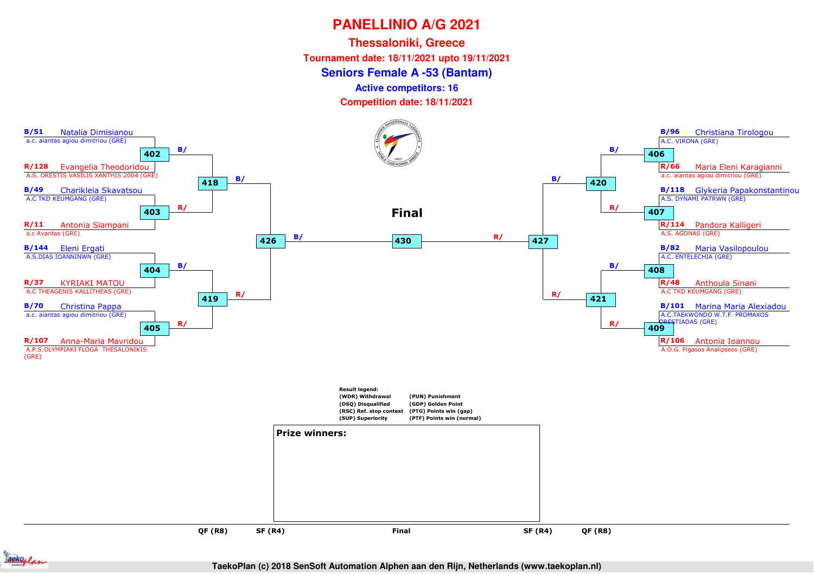**Thessaloniki, Greece**

**Tournament date: 18/11/2021 upto 19/11/2021**

**Seniors Female A -53 (Bantam)**

**Active competitors: 16**

**Competition date: 18/11/2021**





**TaekoPlan (c) 2018 SenSoft Automation Alphen aan den Rijn, Netherlands (www.taekoplan.nl)**